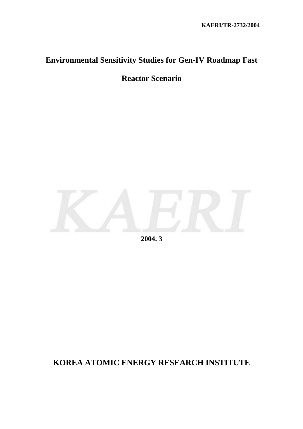# **Environmental Sensitivity Studies for Gen-IV Roadmap Fast**

**Reactor Scenario** 



**2004. 3** 

## **KOREA ATOMIC ENERGY RESEARCH INSTITUTE**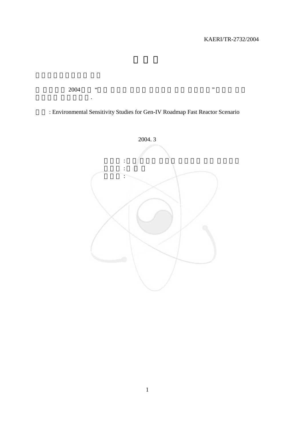<u>2004 년도 "</u>선도

보고서로 제출합니다.

: Environmental Sensitivity Studies for Gen-IV Roadmap Fast Reactor Scenario

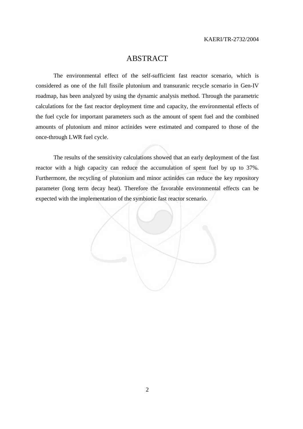## ABSTRACT

The environmental effect of the self-sufficient fast reactor scenario, which is considered as one of the full fissile plutonium and transuranic recycle scenario in Gen-IV roadmap, has been analyzed by using the dynamic analysis method. Through the parametric calculations for the fast reactor deployment time and capacity, the environmental effects of the fuel cycle for important parameters such as the amount of spent fuel and the combined amounts of plutonium and minor actinides were estimated and compared to those of the once-through LWR fuel cycle.

 The results of the sensitivity calculations showed that an early deployment of the fast reactor with a high capacity can reduce the accumulation of spent fuel by up to 37%. Furthermore, the recycling of plutonium and minor actinides can reduce the key repository parameter (long term decay heat). Therefore the favorable environmental effects can be expected with the implementation of the symbiotic fast reactor scenario.

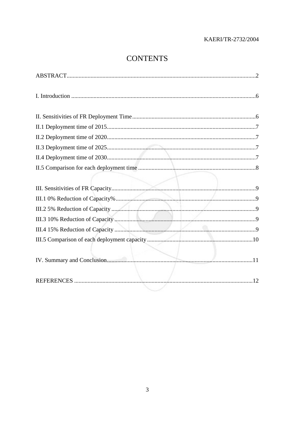## **CONTENTS**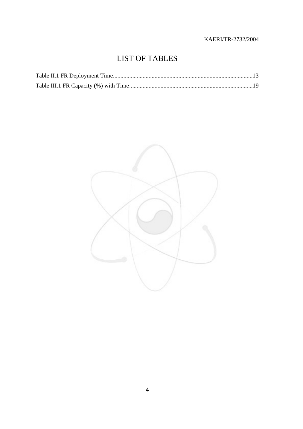## LIST OF TABLES

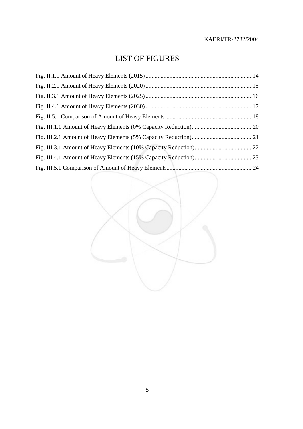## LIST OF FIGURES

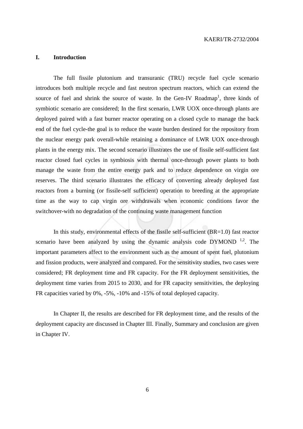#### **I. Introduction**

The full fissile plutonium and transuranic (TRU) recycle fuel cycle scenario introduces both multiple recycle and fast neutron spectrum reactors, which can extend the source of fuel and shrink the source of waste. In the Gen-IV Roadmap<sup>1</sup>, three kinds of symbiotic scenario are considered; In the first scenario, LWR UOX once-through plants are deployed paired with a fast burner reactor operating on a closed cycle to manage the back end of the fuel cycle-the goal is to reduce the waste burden destined for the repository from the nuclear energy park overall-while retaining a dominance of LWR UOX once-through plants in the energy mix. The second scenario illustrates the use of fissile self-sufficient fast reactor closed fuel cycles in symbiosis with thermal once-through power plants to both manage the waste from the entire energy park and to reduce dependence on virgin ore reserves. The third scenario illustrates the efficacy of converting already deployed fast reactors from a burning (or fissile-self sufficient) operation to breeding at the appropriate time as the way to cap virgin ore withdrawals when economic conditions favor the switchover-with no degradation of the continuing waste management function

In this study, environmental effects of the fissile self-sufficient (BR=1.0) fast reactor scenario have been analyzed by using the dynamic analysis code  $DYMOND$ <sup>1,2</sup>. The important parameters affect to the environment such as the amount of spent fuel, plutonium and fission products, were analyzed and compared. For the sensitivity studies, two cases were considered; FR deployment time and FR capacity. For the FR deployment sensitivities, the deployment time varies from 2015 to 2030, and for FR capacity sensitivities, the deploying FR capacities varied by 0%, -5%, -10% and -15% of total deployed capacity.

In Chapter II, the results are described for FR deployment time, and the results of the deployment capacity are discussed in Chapter III. Finally, Summary and conclusion are given in Chapter IV.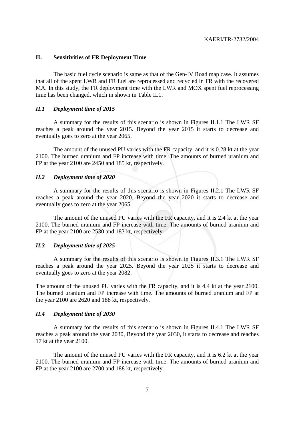#### **II. Sensitivities of FR Deployment Time**

The basic fuel cycle scenario is same as that of the Gen-IV Road map case. It assumes that all of the spent LWR and FR fuel are reprocessed and recycled in FR with the recovered MA. In this study, the FR deployment time with the LWR and MOX spent fuel reprocessing time has been changed, which in shown in Table II.1.

#### *II.1 Deployment time of 2015*

A summary for the results of this scenario is shown in Figures II.1.1 The LWR SF reaches a peak around the year 2015. Beyond the year 2015 it starts to decrease and eventually goes to zero at the year 2065.

The amount of the unused PU varies with the FR capacity, and it is 0.28 kt at the year 2100. The burned uranium and FP increase with time. The amounts of burned uranium and FP at the year 2100 are 2450 and 185 kt, respectively.

#### *II.2 Deployment time of 2020*

A summary for the results of this scenario is shown in Figures II.2.1 The LWR SF reaches a peak around the year 2020. Beyond the year 2020 it starts to decrease and eventually goes to zero at the year 2065.

The amount of the unused PU varies with the FR capacity, and it is 2.4 kt at the year 2100. The burned uranium and FP increase with time. The amounts of burned uranium and FP at the year 2100 are 2530 and 183 kt, respectively

#### *II.3 Deployment time of 2025*

A summary for the results of this scenario is shown in Figures II.3.1 The LWR SF reaches a peak around the year 2025. Beyond the year 2025 it starts to decrease and eventually goes to zero at the year 2082.

The amount of the unused PU varies with the FR capacity, and it is 4.4 kt at the year 2100. The burned uranium and FP increase with time. The amounts of burned uranium and FP at the year 2100 are 2620 and 188 kt, respectively.

#### *II.4 Deployment time of 2030*

A summary for the results of this scenario is shown in Figures II.4.1 The LWR SF reaches a peak around the year 2030, Beyond the year 2030, it starts to decrease and reaches 17 kt at the year 2100.

The amount of the unused PU varies with the FR capacity, and it is 6.2 kt at the year 2100. The burned uranium and FP increase with time. The amounts of burned uranium and FP at the year 2100 are 2700 and 188 kt, respectively.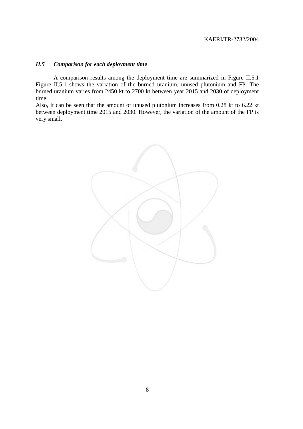#### *II.5 Comparison for each deployment time*

A comparison results among the deployment time are summarized in Figure II.5.1 Figure II.5.1 shows the variation of the burned uranium, unused plutonium and FP. The burned uranium varies from 2450 kt to 2700 kt between year 2015 and 2030 of deployment time.

Also, it can be seen that the amount of unused plutonium increases from 0.28 kt to 6.22 kt between deployment time 2015 and 2030. However, the variation of the amount of the FP is very small.

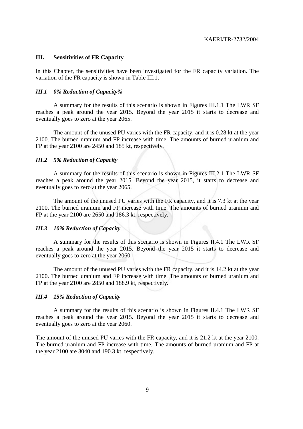#### **III. Sensitivities of FR Capacity**

In this Chapter, the sensitivities have been investigated for the FR capacity variation. The variation of the FR capacity is shown in Table III.1.

#### *III.1 0% Reduction of Capacity%*

A summary for the results of this scenario is shown in Figures III.1.1 The LWR SF reaches a peak around the year 2015. Beyond the year 2015 it starts to decrease and eventually goes to zero at the year 2065.

The amount of the unused PU varies with the FR capacity, and it is 0.28 kt at the year 2100. The burned uranium and FP increase with time. The amounts of burned uranium and FP at the year 2100 are 2450 and 185 kt, respectively.

#### *III.2 5% Reduction of Capacity*

A summary for the results of this scenario is shown in Figures III.2.1 The LWR SF reaches a peak around the year 2015, Beyond the year 2015, it starts to decrease and eventually goes to zero at the year 2065.

The amount of the unused PU varies with the FR capacity, and it is 7.3 kt at the year 2100. The burned uranium and FP increase with time. The amounts of burned uranium and FP at the year 2100 are 2650 and 186.3 kt, respectively.

#### *III.3 10% Reduction of Capacity*

A summary for the results of this scenario is shown in Figures II.4.1 The LWR SF reaches a peak around the year 2015. Beyond the year 2015 it starts to decrease and eventually goes to zero at the year 2060.

The amount of the unused PU varies with the FR capacity, and it is 14.2 kt at the year 2100. The burned uranium and FP increase with time. The amounts of burned uranium and FP at the year 2100 are 2850 and 188.9 kt, respectively.

#### *III.4 15% Reduction of Capacity*

A summary for the results of this scenario is shown in Figures II.4.1 The LWR SF reaches a peak around the year 2015. Beyond the year 2015 it starts to decrease and eventually goes to zero at the year 2060.

The amount of the unused PU varies with the FR capacity, and it is 21.2 kt at the year 2100. The burned uranium and FP increase with time. The amounts of burned uranium and FP at the year 2100 are 3040 and 190.3 kt, respectively.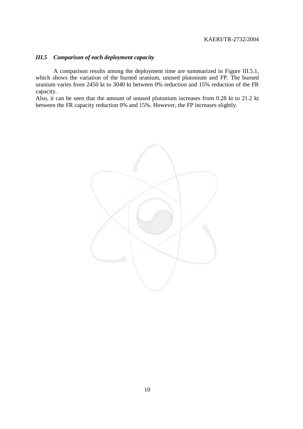#### *III.5 Comparison of each deployment capacity*

A comparison results among the deployment time are summarized in Figure III.5.1, which shows the variation of the burned uranium, unused plutonium and FP. The burned uranium varies from 2450 kt to 3040 kt between 0% reduction and 15% reduction of the FR capacity.

Also, it can be seen that the amount of unused plutonium increases from 0.28 kt to 21.2 kt between the FR capacity reduction 0% and 15%. However, the FP increases slightly.

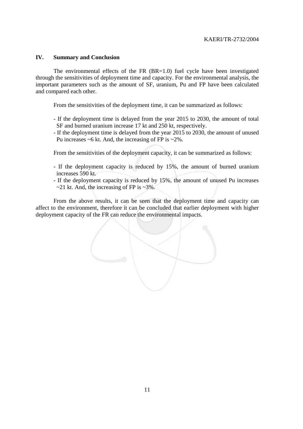#### **IV. Summary and Conclusion**

The environmental effects of the FR (BR=1.0) fuel cycle have been investigated through the sensitivities of deployment time and capacity. For the environmental analysis, the important parameters such as the amount of SF, uranium, Pu and FP have been calculated and compared each other.

From the sensitivities of the deployment time, it can be summarized as follows:

- If the deployment time is delayed from the year 2015 to 2030, the amount of total SF and burned uranium increase 17 kt and 250 kt, respectively.
- If the deployment time is delayed from the year 2015 to 2030, the amount of unused Pu increases  $~6$  kt. And, the increasing of FP is  $~2\%$ .

From the sensitivities of the deployment capacity, it can be summarized as follows:

- If the deployment capacity is reduced by 15%, the amount of burned uranium increases 590 kt.
- If the deployment capacity is reduced by 15%, the amount of unused Pu increases  $\sim$ 21 kt. And, the increasing of FP is  $\sim$ 3%.

From the above results, it can be seen that the deployment time and capacity can affect to the environment, therefore it can be concluded that earlier deployment with higher deployment capacity of the FR can reduce the environmental impacts.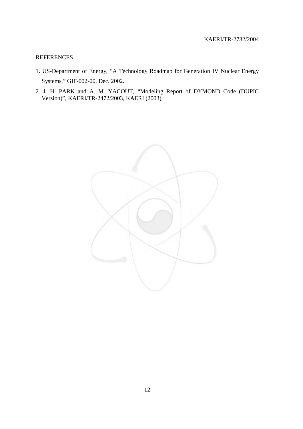#### REFERENCES

- 1. US-Department of Energy, "A Technology Roadmap for Generation IV Nuclear Energy Systems," GIF-002-00, Dec. 2002.
- 2. J. H. PARK and A. M. YACOUT, "Modeling Report of DYMOND Code (DUPIC Version)", KAERI/TR-2472/2003, KAERI (2003)

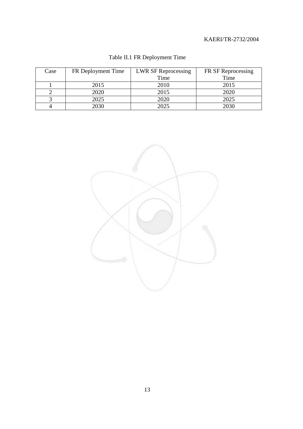| Case | FR Deployment Time | <b>LWR SF Reprocessing</b> | FR SF Reprocessing |  |
|------|--------------------|----------------------------|--------------------|--|
|      |                    | Time                       | Time               |  |
|      | 2015               | 2010                       | 2015               |  |
|      | 2020               | 2015                       | 2020               |  |
|      | 2025               | 2020                       | 2025               |  |
|      | 2030               | 2025                       | 2030               |  |

## Table II.1 FR Deployment Time

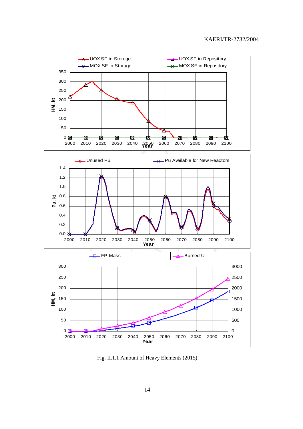

Fig. II.1.1 Amount of Heavy Elements (2015)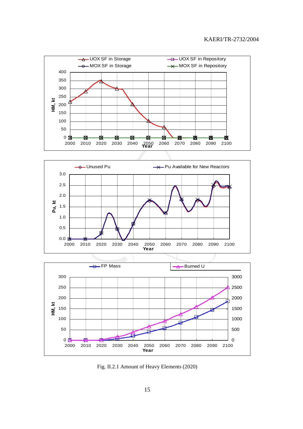





Fig. II.2.1 Amount of Heavy Elements (2020)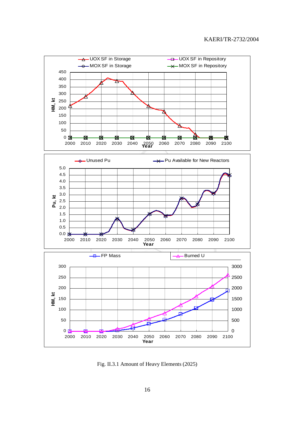

Fig. II.3.1 Amount of Heavy Elements (2025)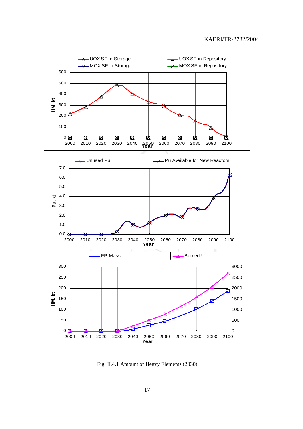

Fig. II.4.1 Amount of Heavy Elements (2030)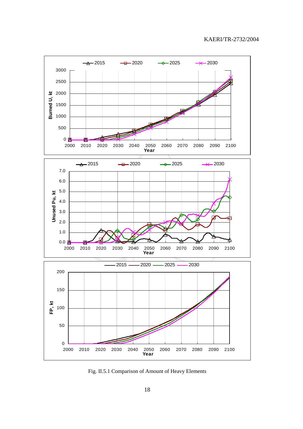

Fig. II.5.1 Comparison of Amount of Heavy Elements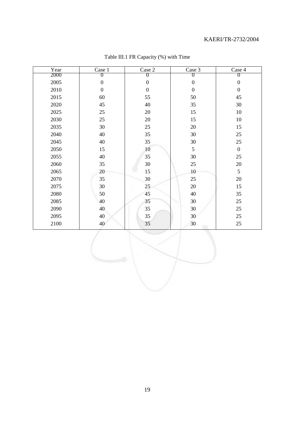| Year | Case 1           | Case 2           | Case 3           | Case 4           |
|------|------------------|------------------|------------------|------------------|
| 2000 | U                | $\theta$         | 0                | O                |
| 2005 | $\boldsymbol{0}$ | $\boldsymbol{0}$ | $\boldsymbol{0}$ | $\boldsymbol{0}$ |
| 2010 | $\boldsymbol{0}$ | $\boldsymbol{0}$ | $\boldsymbol{0}$ | $\boldsymbol{0}$ |
| 2015 | 60               | 55               | 50               | 45               |
| 2020 | 45               | 40               | 35               | 30               |
| 2025 | 25               | $20\,$           | 15               | 10               |
| 2030 | 25               | 20               | 15               | 10               |
| 2035 | 30               | 25               | $20\,$           | 15               |
| 2040 | 40               | 35               | 30               | $25\,$           |
| 2045 | 40               | 35               | 30               | $25\,$           |
| 2050 | 15               | 10               | 5                | $\boldsymbol{0}$ |
| 2055 | 40               | 35               | 30               | 25               |
| 2060 | 35               | $30\,$           | 25               | $20\,$           |
| 2065 | 20               | 15               | 10               | 5                |
| 2070 | 35               | 30               | 25               | $20\,$           |
| 2075 | 30               | 25               | 20               | 15               |
| 2080 | 50               | 45               | 40               | 35               |
| 2085 | 40               | 35               | 30               | 25               |
| 2090 | 40               | 35               | 30               | $25\,$           |
| 2095 | 40               | 35               | 30               | 25               |
| 2100 | 40               | 35               | 30               | 25               |

## Table III.1 FR Capacity (%) with Time

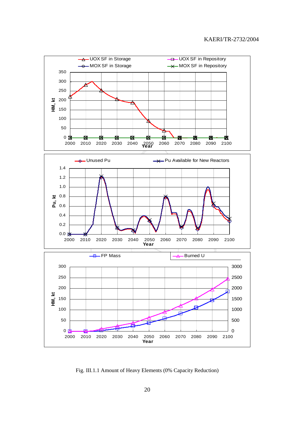

Fig. III.1.1 Amount of Heavy Elements (0% Capacity Reduction)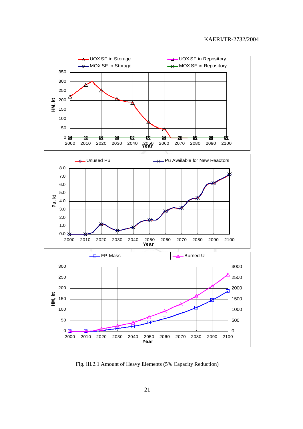

Fig. III.2.1 Amount of Heavy Elements (5% Capacity Reduction)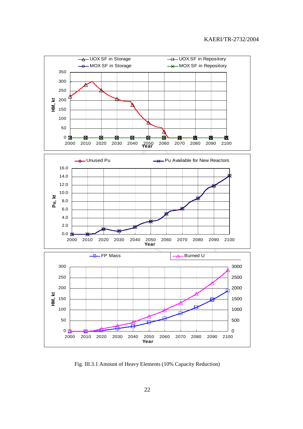

Fig. III.3.1 Amount of Heavy Elements (10% Capacity Reduction)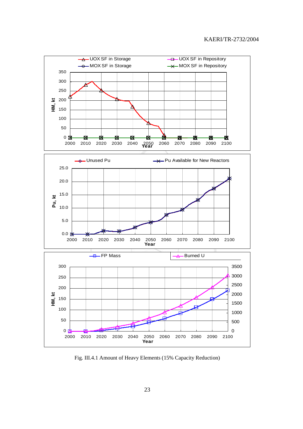

Fig. III.4.1 Amount of Heavy Elements (15% Capacity Reduction)

23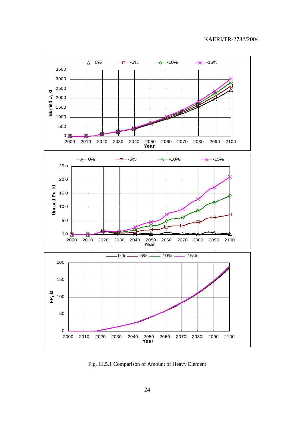

Fig. III.5.1 Comparison of Amount of Heavy Element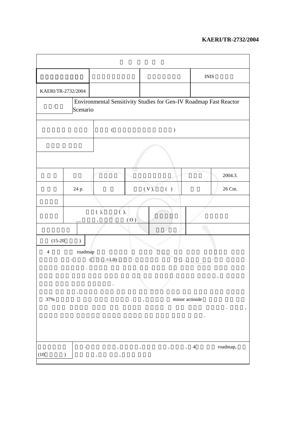|                                                                                                       |              |                      |     |                                                       | $\overline{\text{INIS}}$                   |               |  |  |
|-------------------------------------------------------------------------------------------------------|--------------|----------------------|-----|-------------------------------------------------------|--------------------------------------------|---------------|--|--|
| KAERI/TR-2732/2004                                                                                    |              |                      |     |                                                       |                                            |               |  |  |
| Environmental Sensitivity Studies for Gen-IV Roadmap Fast Reactor<br>$\sqrt{\phantom{a}}$<br>Scenario |              |                      |     |                                                       |                                            |               |  |  |
|                                                                                                       |              | $\big($              |     | $\mathcal{C}^{\prime}$                                |                                            |               |  |  |
|                                                                                                       |              |                      |     |                                                       |                                            |               |  |  |
|                                                                                                       |              |                      |     |                                                       |                                            | 2004.3.       |  |  |
|                                                                                                       | 24 p.        |                      |     | (V),<br>$\left( \begin{array}{c} \end{array} \right)$ |                                            | 26 Cm.        |  |  |
|                                                                                                       |              |                      |     |                                                       |                                            |               |  |  |
|                                                                                                       |              | $(\ ) ,$<br>$(\ ) ,$ | (0) |                                                       |                                            |               |  |  |
|                                                                                                       |              |                      |     |                                                       |                                            |               |  |  |
| $(15-20)$                                                                                             | <sup>1</sup> |                      |     |                                                       |                                            |               |  |  |
| $\overline{4}$                                                                                        | roadmap<br>, | $=1.0$               |     |                                                       |                                            | $^\mathrm{o}$ |  |  |
| 37%                                                                                                   |              |                      |     |                                                       | minor actinide                             |               |  |  |
| (10)                                                                                                  | )            | ,                    | ,   | $^\circ$                                              | $\overline{4}$<br>$\overline{\phantom{a}}$ | roadmap,      |  |  |